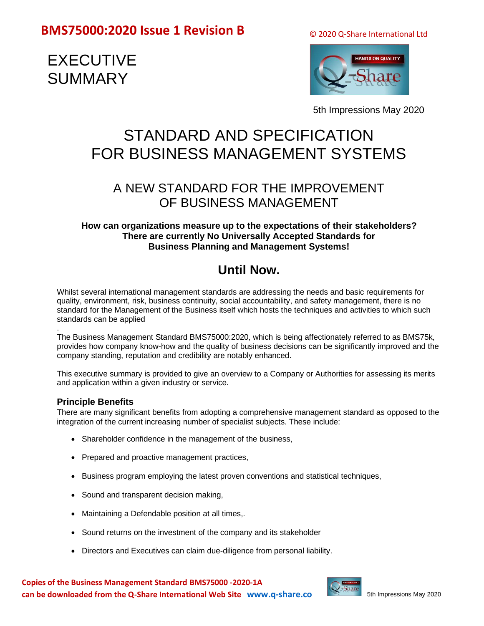© 2020 Q-Share International Ltd

# EXECUTIVE SUMMARY



5th Impressions May 2020

# STANDARD AND SPECIFICATION FOR BUSINESS MANAGEMENT SYSTEMS

### A NEW STANDARD FOR THE IMPROVEMENT OF BUSINESS MANAGEMENT

### **How can organizations measure up to the expectations of their stakeholders? There are currently No Universally Accepted Standards for Business Planning and Management Systems!**

## **Until Now.**

Whilst several international management standards are addressing the needs and basic requirements for quality, environment, risk, business continuity, social accountability, and safety management, there is no standard for the Management of the Business itself which hosts the techniques and activities to which such standards can be applied

. The Business Management Standard BMS75000:2020, which is being affectionately referred to as BMS75k, provides how company know-how and the quality of business decisions can be significantly improved and the company standing, reputation and credibility are notably enhanced.

This executive summary is provided to give an overview to a Company or Authorities for assessing its merits and application within a given industry or service.

### **Principle Benefits**

There are many significant benefits from adopting a comprehensive management standard as opposed to the integration of the current increasing number of specialist subjects. These include:

- Shareholder confidence in the management of the business,
- Prepared and proactive management practices,
- Business program employing the latest proven conventions and statistical techniques,
- Sound and transparent decision making,
- Maintaining a Defendable position at all times,.
- Sound returns on the investment of the company and its stakeholder
- Directors and Executives can claim due-diligence from personal liability.

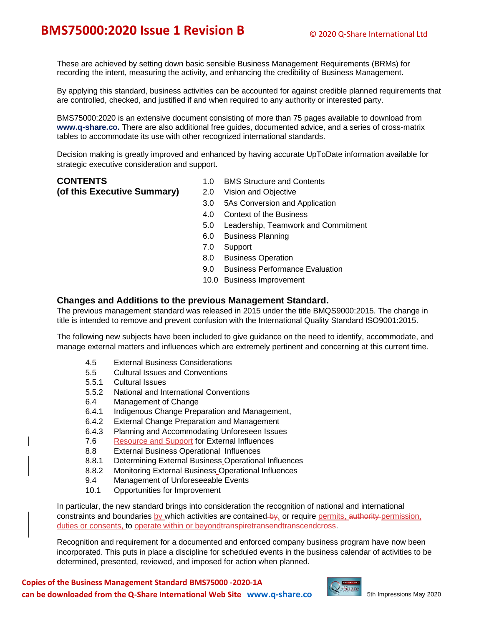These are achieved by setting down basic sensible Business Management Requirements (BRMs) for recording the intent, measuring the activity, and enhancing the credibility of Business Management.

By applying this standard, business activities can be accounted for against credible planned requirements that are controlled, checked, and justified if and when required to any authority or interested party.

BMS75000:2020 is an extensive document consisting of more than 75 pages available to download from **www.q-share.co.** There are also additional free guides, documented advice, and a series of cross-matrix tables to accommodate its use with other recognized international standards.

Decision making is greatly improved and enhanced by having accurate UpToDate information available for strategic executive consideration and support.

**(of this Executive Summary)** 2.0 Vision and Objective

- **CONTENTS** 1.0 BMS Structure and Contents
	-
	- 3.0 5As Conversion and Application
	- 4.0 Context of the Business
	- 5.0 Leadership, Teamwork and Commitment
	- 6.0 Business Planning
	- 7.0 Support
	- 8.0 Business Operation
	- 9.0 Business Performance Evaluation
	- 10.0 Business Improvement

#### **Changes and Additions to the previous Management Standard.**

The previous management standard was released in 2015 under the title BMQS9000:2015. The change in title is intended to remove and prevent confusion with the International Quality Standard ISO9001:2015.

The following new subjects have been included to give guidance on the need to identify, accommodate, and manage external matters and influences which are extremely pertinent and concerning at this current time.

- 4.5 External Business Considerations
- 5.5 Cultural Issues and Conventions
- 5.5.1 Cultural Issues
- 5.5.2 National and International Conventions
- 6.4 Management of Change
- 6.4.1 Indigenous Change Preparation and Management,
- 6.4.2 External Change Preparation and Management
- 6.4.3 Planning and Accommodating Unforeseen Issues
- 7.6 Resource and Support for External Influences
- 8.8 External Business Operational Influences
- 8.8.1 Determining External Business Operational Influences
- 8.8.2 Monitoring External Business Operational Influences
- 9.4 Management of Unforeseeable Events
- 10.1 Opportunities for Improvement

In particular, the new standard brings into consideration the recognition of national and international constraints and boundaries by which activities are contained by, or require permits, authority permission, duties or consents, to operate within or beyondtranspiretransendtranscendeross.

Recognition and requirement for a documented and enforced company business program have now been incorporated. This puts in place a discipline for scheduled events in the business calendar of activities to be determined, presented, reviewed, and imposed for action when planned.

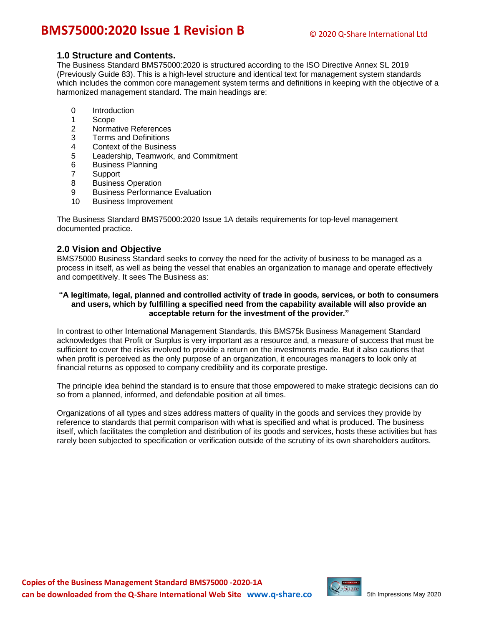#### **1.0 Structure and Contents.**

The Business Standard BMS75000:2020 is structured according to the ISO Directive Annex SL 2019 (Previously Guide 83). This is a high-level structure and identical text for management system standards which includes the common core management system terms and definitions in keeping with the objective of a harmonized management standard. The main headings are:

- 0 Introduction
- 1 Scope
- 2 Normative References
- 3 Terms and Definitions
- 4 Context of the Business
- 5 Leadership, Teamwork, and Commitment
- 6 Business Planning
- 7 Support
- 8 Business Operation
- 9 Business Performance Evaluation
- 10 Business Improvement

The Business Standard BMS75000:2020 Issue 1A details requirements for top-level management documented practice.

#### **2.0 Vision and Objective**

BMS75000 Business Standard seeks to convey the need for the activity of business to be managed as a process in itself, as well as being the vessel that enables an organization to manage and operate effectively and competitively. It sees The Business as:

#### **"A legitimate, legal, planned and controlled activity of trade in goods, services, or both to consumers and users, which by fulfilling a specified need from the capability available will also provide an acceptable return for the investment of the provider."**

In contrast to other International Management Standards, this BMS75k Business Management Standard acknowledges that Profit or Surplus is very important as a resource and, a measure of success that must be sufficient to cover the risks involved to provide a return on the investments made. But it also cautions that when profit is perceived as the only purpose of an organization, it encourages managers to look only at financial returns as opposed to company credibility and its corporate prestige.

The principle idea behind the standard is to ensure that those empowered to make strategic decisions can do so from a planned, informed, and defendable position at all times.

Organizations of all types and sizes address matters of quality in the goods and services they provide by reference to standards that permit comparison with what is specified and what is produced. The business itself, which facilitates the completion and distribution of its goods and services, hosts these activities but has rarely been subjected to specification or verification outside of the scrutiny of its own shareholders auditors.

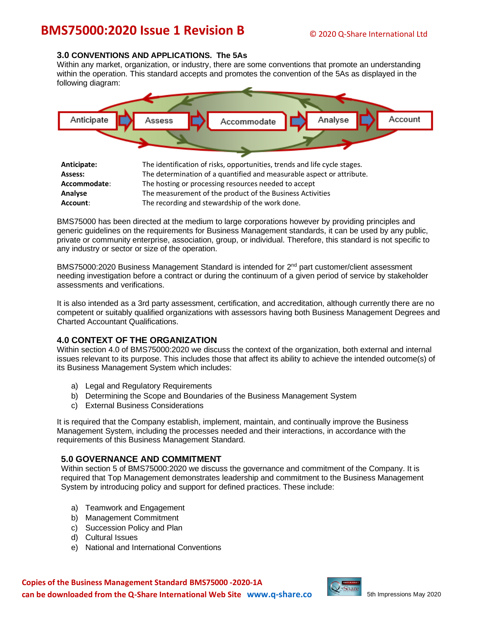#### **3.0 CONVENTIONS AND APPLICATIONS. The 5As**

Within any market, organization, or industry, there are some conventions that promote an understanding within the operation. This standard accepts and promotes the convention of the 5As as displayed in the following diagram:



| Assess:      | The determination of a quantified and measurable aspect or attribute. |
|--------------|-----------------------------------------------------------------------|
| Accommodate: | The hosting or processing resources needed to accept                  |
| Analyse      | The measurement of the product of the Business Activities             |
| Account:     | The recording and stewardship of the work done.                       |

BMS75000 has been directed at the medium to large corporations however by providing principles and generic guidelines on the requirements for Business Management standards, it can be used by any public, private or community enterprise, association, group, or individual. Therefore, this standard is not specific to any industry or sector or size of the operation.

BMS75000:2020 Business Management Standard is intended for 2<sup>nd</sup> part customer/client assessment needing investigation before a contract or during the continuum of a given period of service by stakeholder assessments and verifications.

It is also intended as a 3rd party assessment, certification, and accreditation, although currently there are no competent or suitably qualified organizations with assessors having both Business Management Degrees and Charted Accountant Qualifications.

#### **4.0 CONTEXT OF THE ORGANIZATION**

Within section 4.0 of BMS75000:2020 we discuss the context of the organization, both external and internal issues relevant to its purpose. This includes those that affect its ability to achieve the intended outcome(s) of its Business Management System which includes:

- a) Legal and Regulatory Requirements
- b) Determining the Scope and Boundaries of the Business Management System
- c) External Business Considerations

It is required that the Company establish, implement, maintain, and continually improve the Business Management System, including the processes needed and their interactions, in accordance with the requirements of this Business Management Standard.

#### **5.0 GOVERNANCE AND COMMITMENT**

Within section 5 of BMS75000:2020 we discuss the governance and commitment of the Company. It is required that Top Management demonstrates leadership and commitment to the Business Management System by introducing policy and support for defined practices. These include:

- a) Teamwork and Engagement
- b) Management Commitment
- c) Succession Policy and Plan
- d) Cultural Issues
- e) National and International Conventions

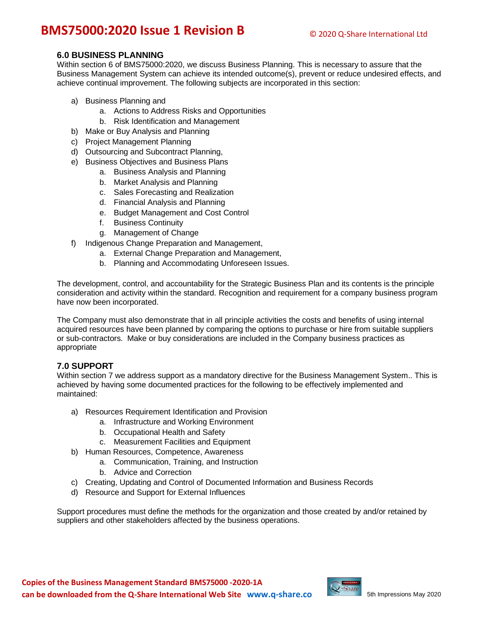#### **6.0 BUSINESS PLANNING**

Within section 6 of BMS75000:2020, we discuss Business Planning. This is necessary to assure that the Business Management System can achieve its intended outcome(s), prevent or reduce undesired effects, and achieve continual improvement. The following subjects are incorporated in this section:

- a) Business Planning and
	- a. Actions to Address Risks and Opportunities
	- b. Risk Identification and Management
- b) Make or Buy Analysis and Planning
- c) Project Management Planning
- d) Outsourcing and Subcontract Planning,
- e) Business Objectives and Business Plans
	- a. Business Analysis and Planning
	- b. Market Analysis and Planning
	- c. Sales Forecasting and Realization
	- d. Financial Analysis and Planning
	- e. Budget Management and Cost Control
	- f. Business Continuity
	- g. Management of Change
- f) Indigenous Change Preparation and Management,
	- a. External Change Preparation and Management,
	- b. Planning and Accommodating Unforeseen Issues.

The development, control, and accountability for the Strategic Business Plan and its contents is the principle consideration and activity within the standard. Recognition and requirement for a company business program have now been incorporated.

The Company must also demonstrate that in all principle activities the costs and benefits of using internal acquired resources have been planned by comparing the options to purchase or hire from suitable suppliers or sub-contractors. Make or buy considerations are included in the Company business practices as appropriate

#### **7.0 SUPPORT**

Within section 7 we address support as a mandatory directive for the Business Management System.. This is achieved by having some documented practices for the following to be effectively implemented and maintained:

- a) Resources Requirement Identification and Provision
	- a. Infrastructure and Working Environment
	- b. Occupational Health and Safety
	- c. Measurement Facilities and Equipment
- b) Human Resources, Competence, Awareness
	- a. Communication, Training, and Instruction
	- b. Advice and Correction
- c) Creating, Updating and Control of Documented Information and Business Records
- d) Resource and Support for External Influences

Support procedures must define the methods for the organization and those created by and/or retained by suppliers and other stakeholders affected by the business operations.

![](_page_4_Picture_36.jpeg)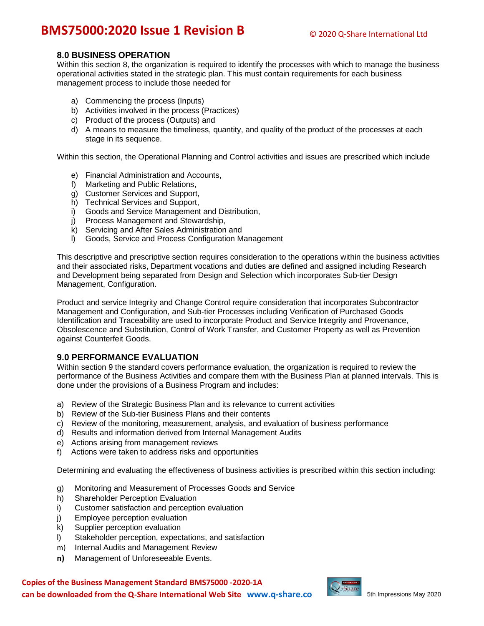#### **8.0 BUSINESS OPERATION**

Within this section 8, the organization is required to identify the processes with which to manage the business operational activities stated in the strategic plan. This must contain requirements for each business management process to include those needed for

- a) Commencing the process (Inputs)
- b) Activities involved in the process (Practices)
- c) Product of the process (Outputs) and
- d) A means to measure the timeliness, quantity, and quality of the product of the processes at each stage in its sequence.

Within this section, the Operational Planning and Control activities and issues are prescribed which include

- e) Financial Administration and Accounts,
- f) Marketing and Public Relations,
- g) Customer Services and Support,
- h) Technical Services and Support,
- i) Goods and Service Management and Distribution,
- j) Process Management and Stewardship,
- k) Servicing and After Sales Administration and
- l) Goods, Service and Process Configuration Management

This descriptive and prescriptive section requires consideration to the operations within the business activities and their associated risks, Department vocations and duties are defined and assigned including Research and Development being separated from Design and Selection which incorporates Sub-tier Design Management, Configuration.

Product and service Integrity and Change Control require consideration that incorporates Subcontractor Management and Configuration, and Sub-tier Processes including Verification of Purchased Goods Identification and Traceability are used to incorporate Product and Service Integrity and Provenance, Obsolescence and Substitution, Control of Work Transfer, and Customer Property as well as Prevention against Counterfeit Goods.

#### **9.0 PERFORMANCE EVALUATION**

Within section 9 the standard covers performance evaluation, the organization is required to review the performance of the Business Activities and compare them with the Business Plan at planned intervals. This is done under the provisions of a Business Program and includes:

- a) Review of the Strategic Business Plan and its relevance to current activities
- b) Review of the Sub-tier Business Plans and their contents
- c) Review of the monitoring, measurement, analysis, and evaluation of business performance
- d) Results and information derived from Internal Management Audits
- e) Actions arising from management reviews
- f) Actions were taken to address risks and opportunities

Determining and evaluating the effectiveness of business activities is prescribed within this section including:

- g) Monitoring and Measurement of Processes Goods and Service
- h) Shareholder Perception Evaluation
- i) Customer satisfaction and perception evaluation
- j) Employee perception evaluation
- k) Supplier perception evaluation
- l) Stakeholder perception, expectations, and satisfaction
- m) Internal Audits and Management Review
- **n)** Management of Unforeseeable Events.

**Copies of the Business Management Standard BMS75000 -2020-1A can be downloaded from the Q-Share International Web Site [www.q-share.co](http://www.q-share.co/)**

![](_page_5_Picture_37.jpeg)